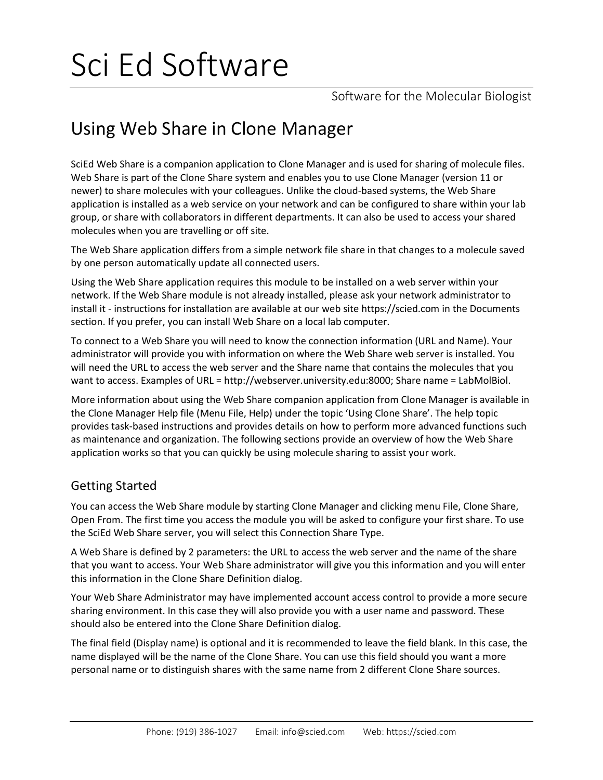# Sci Ed Software

Software for the Molecular Biologist

# Using Web Share in Clone Manager

SciEd Web Share is a companion application to Clone Manager and is used for sharing of molecule files. Web Share is part of the Clone Share system and enables you to use Clone Manager (version 11 or newer) to share molecules with your colleagues. Unlike the cloud-based systems, the Web Share application is installed as a web service on your network and can be configured to share within your lab group, or share with collaborators in different departments. It can also be used to access your shared molecules when you are travelling or off site.

The Web Share application differs from a simple network file share in that changes to a molecule saved by one person automatically update all connected users.

Using the Web Share application requires this module to be installed on a web server within your network. If the Web Share module is not already installed, please ask your network administrator to install it - instructions for installation are available at our web site https://scied.com in the Documents section. If you prefer, you can install Web Share on a local lab computer.

To connect to a Web Share you will need to know the connection information (URL and Name). Your administrator will provide you with information on where the Web Share web server is installed. You will need the URL to access the web server and the Share name that contains the molecules that you want to access. Examples of URL = http://webserver.university.edu:8000; Share name = LabMolBiol.

More information about using the Web Share companion application from Clone Manager is available in the Clone Manager Help file (Menu File, Help) under the topic 'Using Clone Share'. The help topic provides task-based instructions and provides details on how to perform more advanced functions such as maintenance and organization. The following sections provide an overview of how the Web Share application works so that you can quickly be using molecule sharing to assist your work.

#### Getting Started

You can access the Web Share module by starting Clone Manager and clicking menu File, Clone Share, Open From. The first time you access the module you will be asked to configure your first share. To use the SciEd Web Share server, you will select this Connection Share Type.

A Web Share is defined by 2 parameters: the URL to access the web server and the name of the share that you want to access. Your Web Share administrator will give you this information and you will enter this information in the Clone Share Definition dialog.

Your Web Share Administrator may have implemented account access control to provide a more secure sharing environment. In this case they will also provide you with a user name and password. These should also be entered into the Clone Share Definition dialog.

The final field (Display name) is optional and it is recommended to leave the field blank. In this case, the name displayed will be the name of the Clone Share. You can use this field should you want a more personal name or to distinguish shares with the same name from 2 different Clone Share sources.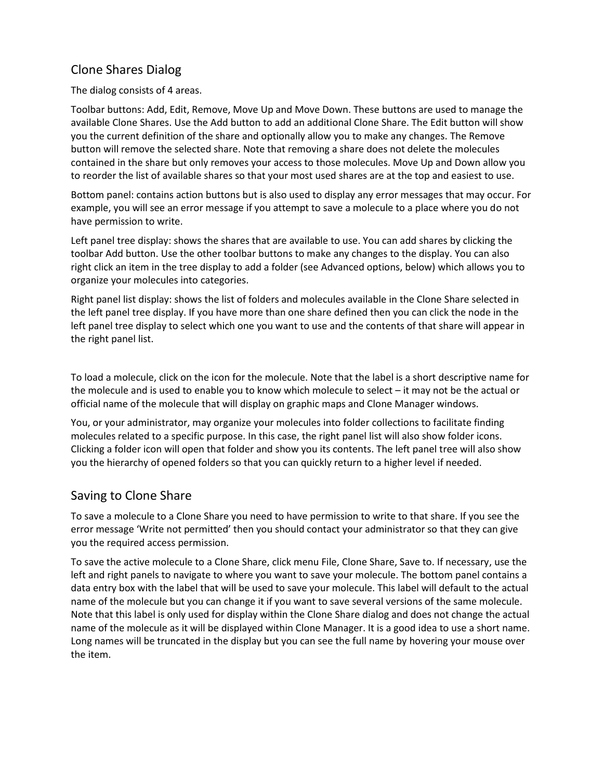# Clone Shares Dialog

The dialog consists of 4 areas.

Toolbar buttons: Add, Edit, Remove, Move Up and Move Down. These buttons are used to manage the available Clone Shares. Use the Add button to add an additional Clone Share. The Edit button will show you the current definition of the share and optionally allow you to make any changes. The Remove button will remove the selected share. Note that removing a share does not delete the molecules contained in the share but only removes your access to those molecules. Move Up and Down allow you to reorder the list of available shares so that your most used shares are at the top and easiest to use.

Bottom panel: contains action buttons but is also used to display any error messages that may occur. For example, you will see an error message if you attempt to save a molecule to a place where you do not have permission to write.

Left panel tree display: shows the shares that are available to use. You can add shares by clicking the toolbar Add button. Use the other toolbar buttons to make any changes to the display. You can also right click an item in the tree display to add a folder (see Advanced options, below) which allows you to organize your molecules into categories.

Right panel list display: shows the list of folders and molecules available in the Clone Share selected in the left panel tree display. If you have more than one share defined then you can click the node in the left panel tree display to select which one you want to use and the contents of that share will appear in the right panel list.

To load a molecule, click on the icon for the molecule. Note that the label is a short descriptive name for the molecule and is used to enable you to know which molecule to select – it may not be the actual or official name of the molecule that will display on graphic maps and Clone Manager windows.

You, or your administrator, may organize your molecules into folder collections to facilitate finding molecules related to a specific purpose. In this case, the right panel list will also show folder icons. Clicking a folder icon will open that folder and show you its contents. The left panel tree will also show you the hierarchy of opened folders so that you can quickly return to a higher level if needed.

#### Saving to Clone Share

To save a molecule to a Clone Share you need to have permission to write to that share. If you see the error message 'Write not permitted' then you should contact your administrator so that they can give you the required access permission.

To save the active molecule to a Clone Share, click menu File, Clone Share, Save to. If necessary, use the left and right panels to navigate to where you want to save your molecule. The bottom panel contains a data entry box with the label that will be used to save your molecule. This label will default to the actual name of the molecule but you can change it if you want to save several versions of the same molecule. Note that this label is only used for display within the Clone Share dialog and does not change the actual name of the molecule as it will be displayed within Clone Manager. It is a good idea to use a short name. Long names will be truncated in the display but you can see the full name by hovering your mouse over the item.